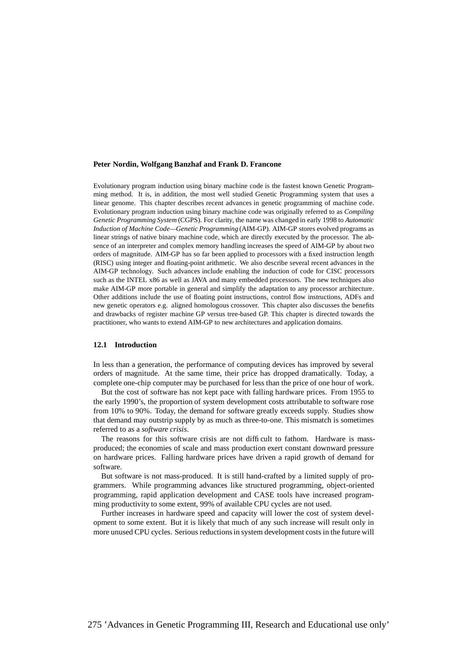#### **Peter Nordin, Wolfgang Banzhaf and Frank D. Francone**

Evolutionary program induction using binary machine code is the fastest known Genetic Programming method. It is, in addition, the most well studied Genetic Programming system that uses a linear genome. This chapter describes recent advances in genetic programming of machine code. Evolutionary program induction using binary machine code was originally referred to as *Compiling Genetic Programming System* (CGPS). For clarity, the name was changed in early 1998 to *Automatic Induction of Machine Code—Genetic Programming* (AIM-GP). AIM-GP stores evolved programs as linear strings of native binary machine code, which are directly executed by the processor. The absence of an interpreter and complex memory handling increases the speed of AIM-GP by about two orders of magnitude. AIM-GP has so far been applied to processors with a fixed instruction length (RISC) using integer and floating-point arithmetic. We also describe several recent advances in the AIM-GP technology. Such advances include enabling the induction of code for CISC processors such as the INTEL x86 as well as JAVA and many embedded processors. The new techniques also make AIM-GP more portable in general and simplify the adaptation to any processor architecture. Other additions include the use of floating point instructions, control flow instructions, ADFs and new genetic operators e.g. aligned homologous crossover. This chapter also discusses the benefits and drawbacks of register machine GP versus tree-based GP. This chapter is directed towards the practitioner, who wants to extend AIM-GP to new architectures and application domains.

# **12.1 Introduction**

In less than a generation, the performance of computing devices has improved by several orders of magnitude. At the same time, their price has dropped dramatically. Today, a complete one-chip computer may be purchased for less than the price of one hour of work.

But the cost of software has not kept pace with falling hardware prices. From 1955 to the early 1990's, the proportion of system development costs attributable to software rose from 10% to 90%. Today, the demand for software greatly exceeds supply. Studies show that demand may outstrip supply by as much as three-to-one. This mismatch is sometimes referred to as a *software crisis*.

The reasons for this software crisis are not difficult to fathom. Hardware is massproduced; the economies of scale and mass production exert constant downward pressure on hardware prices. Falling hardware prices have driven a rapid growth of demand for software.

But software is not mass-produced. It is still hand-crafted by a limited supply of programmers. While programming advances like structured programming, object-oriented programming, rapid application development and CASE tools have increased programming productivity to some extent, 99% of available CPU cycles are not used.

Further increases in hardware speed and capacity will lower the cost of system development to some extent. But it is likely that much of any such increase will result only in more unused CPU cycles. Serious reductionsin system development costs in the future will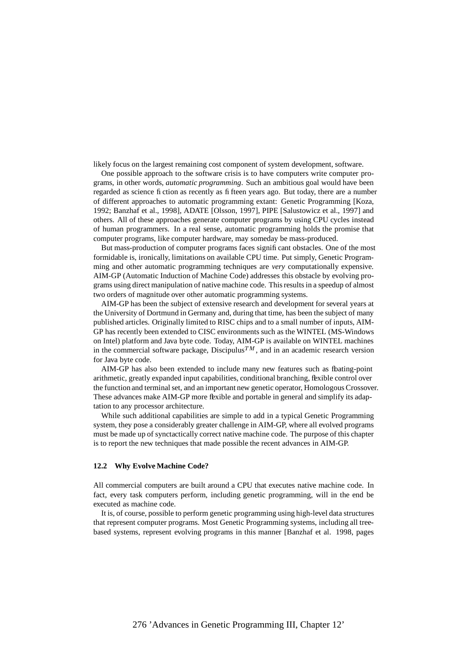likely focus on the largest remaining cost component of system development, software.

One possible approach to the software crisis is to have computers write computer programs, in other words, *automatic programming*. Such an ambitious goal would have been regarded as science fiction as recently as fifteen years ago. But today, there are a number of different approaches to automatic programming extant: Genetic Programming [Koza, 1992; Banzhaf et al., 1998], ADATE [Olsson, 1997], PIPE [Salustowicz et al., 1997] and others. All of these approaches generate computer programs by using CPU cycles instead of human programmers. In a real sense, automatic programming holds the promise that computer programs, like computer hardware, may someday be mass-produced.

But mass-production of computer programs faces significant obstacles. One of the most formidable is, ironically, limitations on available CPU time. Put simply, Genetic Programming and other automatic programming techniques are *very* computationally expensive. AIM-GP (Automatic Induction of Machine Code) addresses this obstacle by evolving programs using direct manipulation of native machine code. Thisresults in a speedup of almost two orders of magnitude over other automatic programming systems.

AIM-GP has been the subject of extensive research and development for several years at the University of Dortmund in Germany and, during that time, has been the subject of many published articles. Originally limited to RISC chips and to a small number of inputs, AIM-GP has recently been extended to CISC environments such as the WINTEL (MS-Windows on Intel) platform and Java byte code. Today, AIM-GP is available on WINTEL machines in the commercial software package, Discipulus<sup> $TM$ </sup>, and in an academic research version for Java byte code.

AIM-GP has also been extended to include many new features such as fbating-point arithmetic, greatly expanded input capabilities, conditional branching, flexible control over the function and terminal set, and an important new genetic operator, Homologous Crossover. These advances make AIM-GP more flexible and portable in general and simplify its adaptation to any processor architecture.

While such additional capabilities are simple to add in a typical Genetic Programming system, they pose a considerably greater challenge in AIM-GP, where all evolved programs must be made up of synctactically correct native machine code. The purpose of this chapter is to report the new techniques that made possible the recent advances in AIM-GP.

# **12.2 Why Evolve Machine Code?**

All commercial computers are built around a CPU that executes native machine code. In fact, every task computers perform, including genetic programming, will in the end be executed as machine code.

It is, of course, possible to perform genetic programming using high-level data structures that represent computer programs. Most Genetic Programming systems, including all treebased systems, represent evolving programs in this manner [Banzhaf et al. 1998, pages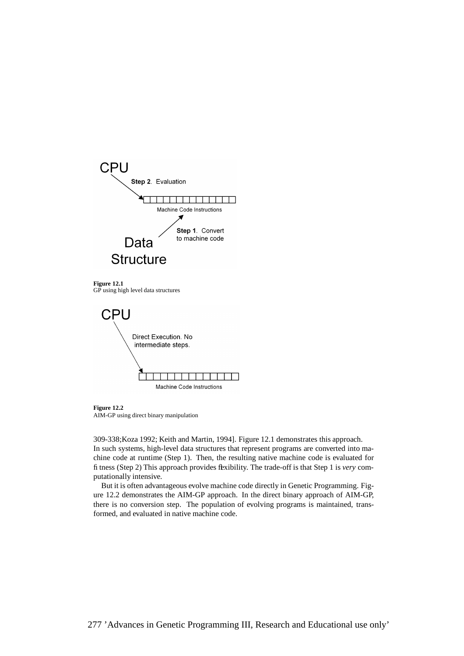

**Figure 12.1** GP using high level data structures



**Figure 12.2** AIM-GP using direct binary manipulation

309-338;Koza 1992; Keith and Martin, 1994]. Figure 12.1 demonstrates this approach. In such systems, high-level data structures that represent programs are converted into machine code at runtime (Step 1). Then, the resulting native machine code is evaluated for fitness (Step 2) This approach provides flexibility. The trade-off is that Step 1 is *very* computationally intensive.

But it is often advantageous evolve machine code directly in Genetic Programming. Figure 12.2 demonstrates the AIM-GP approach. In the direct binary approach of AIM-GP, there is no conversion step. The population of evolving programs is maintained, transformed, and evaluated in native machine code.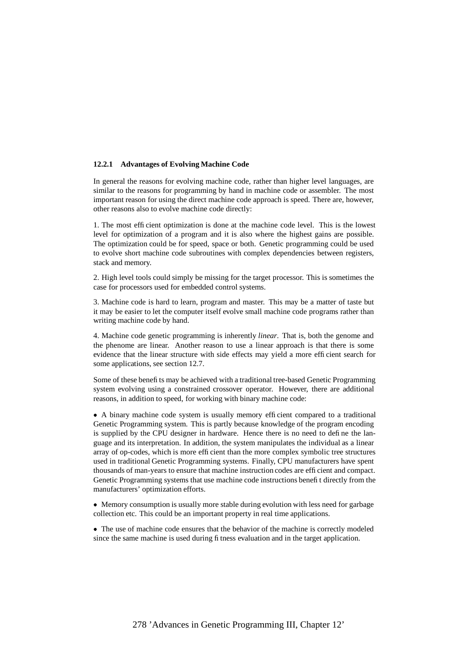# **12.2.1 Advantages of Evolving Machine Code**

In general the reasons for evolving machine code, rather than higher level languages, are similar to the reasons for programming by hand in machine code or assembler. The most important reason for using the direct machine code approach is speed. There are, however, other reasons also to evolve machine code directly:

1. The most efficient optimization is done at the machine code level. This is the lowest level for optimization of a program and it is also where the highest gains are possible. The optimization could be for speed, space or both. Genetic programming could be used to evolve short machine code subroutines with complex dependencies between registers, stack and memory.

2. High level tools could simply be missing for the target processor. This is sometimes the case for processors used for embedded control systems.

3. Machine code is hard to learn, program and master. This may be a matter of taste but it may be easier to let the computer itself evolve small machine code programs rather than writing machine code by hand.

4. Machine code genetic programming is inherently *linear*. That is, both the genome and the phenome are linear. Another reason to use a linear approach is that there is some evidence that the linear structure with side effects may yield a more efficient search for some applications, see section 12.7.

Some of these benefits may be achieved with a traditional tree-based Genetic Programming system evolving using a constrained crossover operator. However, there are additional reasons, in addition to speed, for working with binary machine code:

 A binary machine code system is usually memory efficient compared to a traditional Genetic Programming system. This is partly because knowledge of the program encoding is supplied by the CPU designer in hardware. Hence there is no need to define the language and its interpretation. In addition, the system manipulates the individual as a linear array of op-codes, which is more efficient than the more complex symbolic tree structures used in traditional Genetic Programming systems. Finally, CPU manufacturers have spent thousands of man-years to ensure that machine instruction codes are efficient and compact. Genetic Programming systems that use machine code instructions benefit directly from the manufacturers' optimization efforts.

• Memory consumption is usually more stable during evolution with less need for garbage collection etc. This could be an important property in real time applications.

 The use of machine code ensures that the behavior of the machine is correctly modeled since the same machine is used during fitness evaluation and in the target application.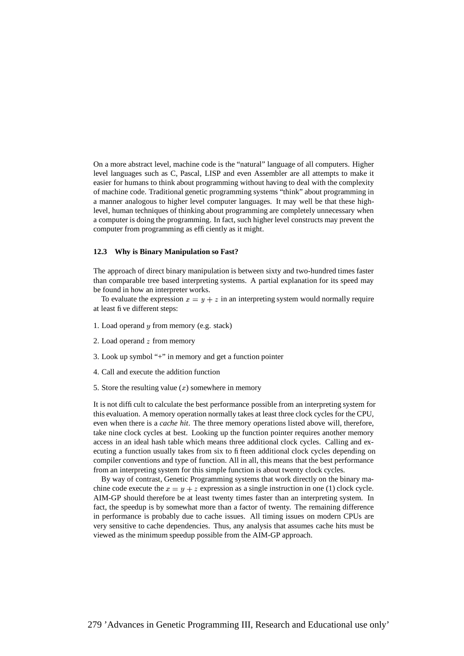On a more abstract level, machine code is the "natural" language of all computers. Higher level languages such as C, Pascal, LISP and even Assembler are all attempts to make it easier for humans to think about programming without having to deal with the complexity of machine code. Traditional genetic programming systems "think" about programming in a manner analogous to higher level computer languages. It may well be that these highlevel, human techniques of thinking about programming are completely unnecessary when a computer is doing the programming. In fact, such higher level constructs may prevent the computer from programming as efficiently as it might.

# **12.3 Why is Binary Manipulation so Fast?**

The approach of direct binary manipulation is between sixty and two-hundred times faster than comparable tree based interpreting systems. A partial explanation for its speed may be found in how an interpreter works.

To evaluate the expression  $x = y + z$  in an interpreting system would normally require at least five different steps:

- 1. Load operand  $y$  from memory (e.g. stack)
- 2. Load operand  $z$  from memory
- 3. Look up symbol "+" in memory and get a function pointer
- 4. Call and execute the addition function
- 5. Store the resulting value  $(x)$  somewhere in memory

It is not difficult to calculate the best performance possible from an interpreting system for this evaluation. A memory operation normally takes at least three clock cycles for the CPU, even when there is a *cache hit*. The three memory operations listed above will, therefore, take nine clock cycles at best. Looking up the function pointer requires another memory access in an ideal hash table which means three additional clock cycles. Calling and executing a function usually takes from six to fifteen additional clock cycles depending on compiler conventions and type of function. All in all, this means that the best performance from an interpreting system for this simple function is about twenty clock cycles.

By way of contrast, Genetic Programming systems that work directly on the binary machine code execute the  $x = y + z$  expression as a single instruction in one (1) clock cycle. AIM-GP should therefore be at least twenty times faster than an interpreting system. In fact, the speedup is by somewhat more than a factor of twenty. The remaining difference in performance is probably due to cache issues. All timing issues on modern CPUs are very sensitive to cache dependencies. Thus, any analysis that assumes cache hits must be viewed as the minimum speedup possible from the AIM-GP approach.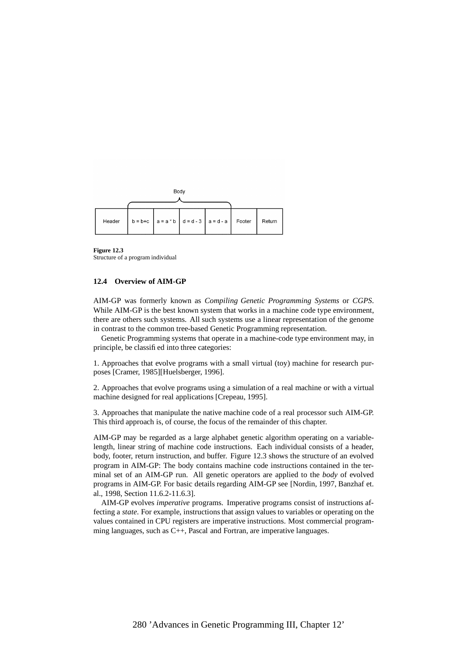



### **12.4 Overview of AIM-GP**

AIM-GP was formerly known as *Compiling Genetic Programming Systems* or *CGPS*. While AIM-GP is the best known system that works in a machine code type environment, there are others such systems. All such systems use a linear representation of the genome in contrast to the common tree-based Genetic Programming representation.

Genetic Programming systems that operate in a machine-code type environment may, in principle, be classified into three categories:

1. Approaches that evolve programs with a small virtual (toy) machine for research purposes [Cramer, 1985][Huelsberger, 1996].

2. Approaches that evolve programs using a simulation of a real machine or with a virtual machine designed for real applications [Crepeau, 1995].

3. Approaches that manipulate the native machine code of a real processor such AIM-GP. This third approach is, of course, the focus of the remainder of this chapter.

AIM-GP may be regarded as a large alphabet genetic algorithm operating on a variablelength, linear string of machine code instructions. Each individual consists of a header, body, footer, return instruction, and buffer. Figure 12.3 shows the structure of an evolved program in AIM-GP: The body contains machine code instructions contained in the terminal set of an AIM-GP run. All genetic operators are applied to the *body* of evolved programs in AIM-GP. For basic details regarding AIM-GP see [Nordin, 1997, Banzhaf et. al., 1998, Section 11.6.2-11.6.3].

AIM-GP evolves *imperative* programs. Imperative programs consist of instructions affecting a *state*. For example, instructions that assign values to variables or operating on the values contained in CPU registers are imperative instructions. Most commercial programming languages, such as C++, Pascal and Fortran, are imperative languages.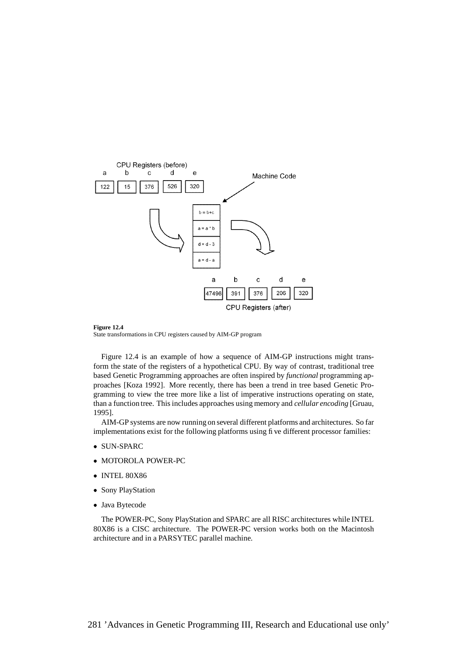



Figure 12.4 is an example of how a sequence of AIM-GP instructions might transform the state of the registers of a hypothetical CPU. By way of contrast, traditional tree based Genetic Programming approaches are often inspired by *functional* programming approaches [Koza 1992]. More recently, there has been a trend in tree based Genetic Programming to view the tree more like a list of imperative instructions operating on state, than a function tree. This includes approaches using memory and *cellular encoding* [Gruau, 1995].

AIM-GP systems are now running on several different platforms and architectures. So far implementations exist for the following platforms using five different processor families:

- SUN-SPARC
- MOTOROLA POWER-PC
- INTEL 80X86
- Sony PlayStation
- Java Bytecode

The POWER-PC, Sony PlayStation and SPARC are all RISC architectures while INTEL 80X86 is a CISC architecture. The POWER-PC version works both on the Macintosh architecture and in a PARSYTEC parallel machine.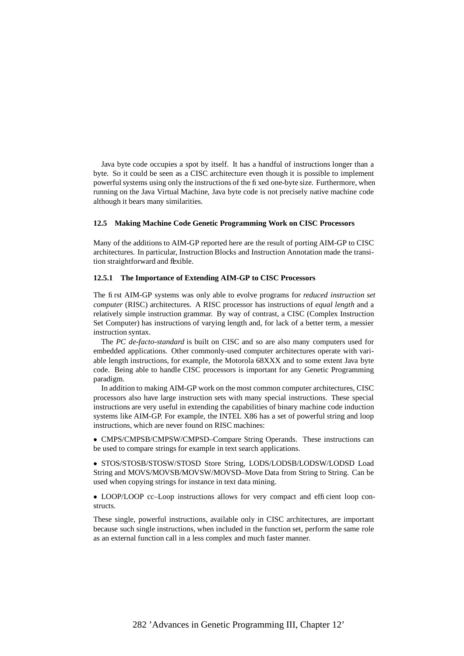Java byte code occupies a spot by itself. It has a handful of instructions longer than a byte. So it could be seen as a CISC architecture even though it is possible to implement powerful systems using only the instructions of the fixed one-byte size. Furthermore, when running on the Java Virtual Machine, Java byte code is not precisely native machine code although it bears many similarities.

# **12.5 Making Machine Code Genetic Programming Work on CISC Processors**

Many of the additions to AIM-GP reported here are the result of porting AIM-GP to CISC architectures. In particular, Instruction Blocks and Instruction Annotation made the transition straightforward and flexible.

# **12.5.1 The Importance of Extending AIM-GP to CISC Processors**

The first AIM-GP systems was only able to evolve programs for *reduced instruction set computer* (RISC) architectures. A RISC processor has instructions of *equal length* and a relatively simple instruction grammar. By way of contrast, a CISC (Complex Instruction Set Computer) has instructions of varying length and, for lack of a better term, a messier instruction syntax.

The *PC de-facto-standard* is built on CISC and so are also many computers used for embedded applications. Other commonly-used computer architectures operate with variable length instructions, for example, the Motorola 68XXX and to some extent Java byte code. Being able to handle CISC processors is important for any Genetic Programming paradigm.

In addition to making AIM-GP work on the most common computer architectures, CISC processors also have large instruction sets with many special instructions. These special instructions are very useful in extending the capabilities of binary machine code induction systems like AIM-GP. For example, the INTEL X86 has a set of powerful string and loop instructions, which are never found on RISC machines:

 CMPS/CMPSB/CMPSW/CMPSD–Compare String Operands. These instructions can be used to compare strings for example in text search applications.

• STOS/STOSB/STOSW/STOSD Store String, LODS/LODSB/LODSW/LODSD Load String and MOVS/MOVSB/MOVSW/MOVSD–Move Data from String to String. Can be used when copying strings for instance in text data mining.

 LOOP/LOOP cc–Loop instructions allows for very compact and efficient loop constructs.

These single, powerful instructions, available only in CISC architectures, are important because such single instructions, when included in the function set, perform the same role as an external function call in a less complex and much faster manner.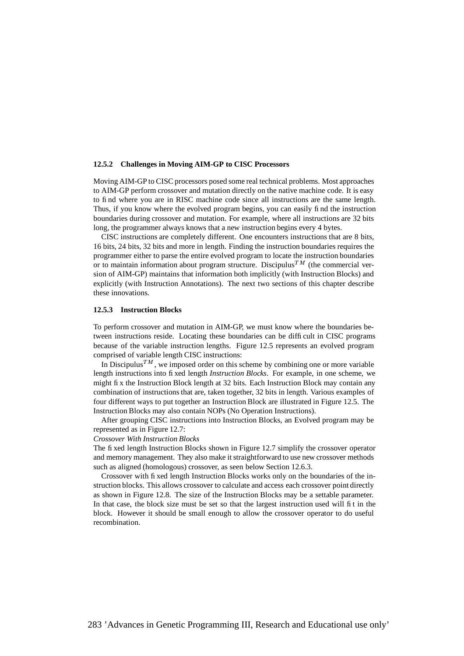#### **12.5.2 Challenges in Moving AIM-GP to CISC Processors**

Moving AIM-GP to CISC processors posed some real technical problems. Most approaches to AIM-GP perform crossover and mutation directly on the native machine code. It is easy to find where you are in RISC machine code since all instructions are the same length. Thus, if you know where the evolved program begins, you can easily find the instruction boundaries during crossover and mutation. For example, where all instructions are 32 bits long, the programmer always knows that a new instruction begins every 4 bytes.

CISC instructions are completely different. One encounters instructions that are 8 bits, 16 bits, 24 bits, 32 bits and more in length. Finding the instruction boundaries requires the programmer either to parse the entire evolved program to locate the instruction boundaries or to maintain information about program structure. Discipulus<sup>TM</sup> (the commercial version of AIM-GP) maintains that information both implicitly (with Instruction Blocks) and explicitly (with Instruction Annotations). The next two sections of this chapter describe these innovations.

# **12.5.3 Instruction Blocks**

To perform crossover and mutation in AIM-GP, we must know where the boundaries between instructions reside. Locating these boundaries can be difficult in CISC programs because of the variable instruction lengths. Figure 12.5 represents an evolved program comprised of variable length CISC instructions:

In Discipulus<sup>TM</sup>, we imposed order on this scheme by combining one or more variable length instructions into fixed length *Instruction Blocks*. For example, in one scheme, we might fix the Instruction Block length at 32 bits. Each Instruction Block may contain any combination of instructions that are, taken together, 32 bits in length. Various examples of four different ways to put together an Instruction Block are illustrated in Figure 12.5. The Instruction Blocks may also contain NOPs (No Operation Instructions).

After grouping CISC instructions into Instruction Blocks, an Evolved program may be represented as in Figure 12.7:

#### *Crossover With Instruction Blocks*

The fixed length Instruction Blocks shown in Figure 12.7 simplify the crossover operator and memory management. They also make itstraightforward to use new crossover methods such as aligned (homologous) crossover, as seen below Section 12.6.3.

Crossover with fixed length Instruction Blocks works only on the boundaries of the instruction blocks. This allows crossover to calculate and access each crossover point directly as shown in Figure 12.8. The size of the Instruction Blocks may be a settable parameter. In that case, the block size must be set so that the largest instruction used will fit in the block. However it should be small enough to allow the crossover operator to do useful recombination.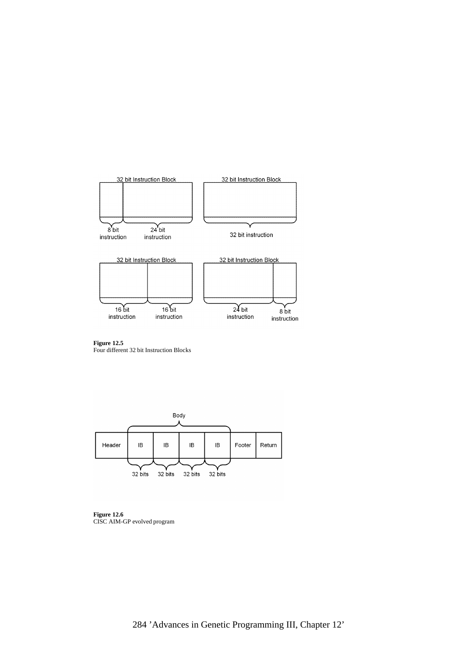

**Figure 12.5** Four different 32 bit Instruction Blocks



**Figure 12.6** CISC AIM-GP evolved program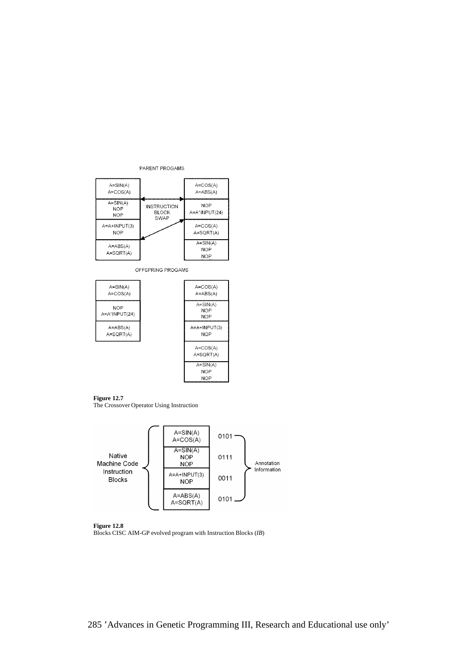

OFFSPRING PROGAMS



**Figure 12.7**

The Crossover Operator Using Instruction





Blocks CISC AIM-GP evolved program with Instruction Blocks (*IB*)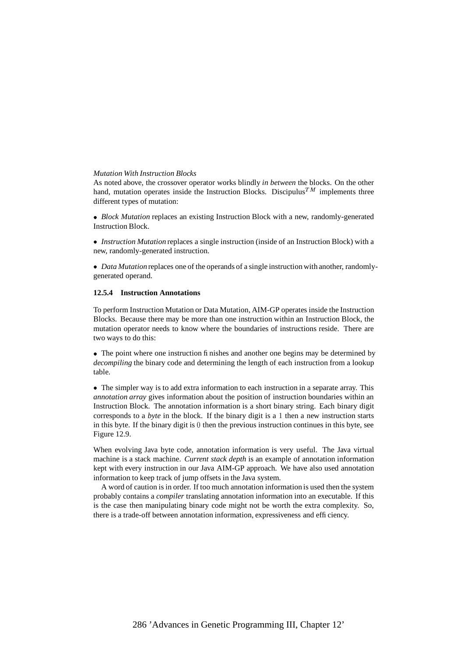### *Mutation With Instruction Blocks*

As noted above, the crossover operator works blindly *in between* the blocks. On the other hand, mutation operates inside the Instruction Blocks. Discipulus  $^{TM}$  implements three different types of mutation:

 *Block Mutation* replaces an existing Instruction Block with a new, randomly-generated Instruction Block.

 *Instruction Mutation* replaces a single instruction (inside of an Instruction Block) with a new, randomly-generated instruction.

 *Data Mutation*replaces one of the operands of a single instruction with another, randomlygenerated operand.

# **12.5.4 Instruction Annotations**

To perform Instruction Mutation or Data Mutation, AIM-GP operates inside the Instruction Blocks. Because there may be more than one instruction within an Instruction Block, the mutation operator needs to know where the boundaries of instructions reside. There are two ways to do this:

 The point where one instruction finishes and another one begins may be determined by *decompiling* the binary code and determining the length of each instruction from a lookup table.

 The simpler way is to add extra information to each instruction in a separate array. This *annotation array* gives information about the position of instruction boundaries within an Instruction Block. The annotation information is a short binary string. Each binary digit corresponds to a *byte* in the block. If the binary digit is a 1 then a new instruction starts in this byte. If the binary digit is  $0$  then the previous instruction continues in this byte, see Figure 12.9.

When evolving Java byte code, annotation information is very useful. The Java virtual machine is a stack machine. *Current stack depth* is an example of annotation information kept with every instruction in our Java AIM-GP approach. We have also used annotation information to keep track of jump offsets in the Java system.

A word of caution is in order. If too much annotation information is used then the system probably contains a *compiler* translating annotation information into an executable. If this is the case then manipulating binary code might not be worth the extra complexity. So, there is a trade-off between annotation information, expressiveness and efficiency.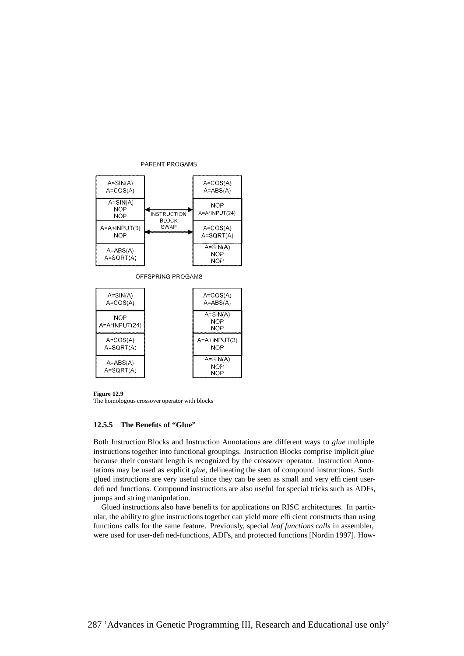



**Figure 12.9**

 $A = SQRT(A)$ 

The homologous crossover operator with blocks

# **12.5.5 The Benefits of "Glue"**

Both Instruction Blocks and Instruction Annotations are different ways to *glue* multiple instructions together into functional groupings. Instruction Blocks comprise implicit *glue* because their constant length is recognized by the crossover operator. Instruction Annotations may be used as explicit *glue*, delineating the start of compound instructions. Such glued instructions are very useful since they can be seen as small and very efficient userdefined functions. Compound instructions are also useful for special tricks such as ADFs, jumps and string manipulation.

**NOP** 

Glued instructions also have benefits for applications on RISC architectures. In particular, the ability to glue instructions together can yield more efficient constructs than using functions calls for the same feature. Previously, special *leaf functions calls* in assembler, were used for user-defined-functions, ADFs, and protected functions [Nordin 1997]. How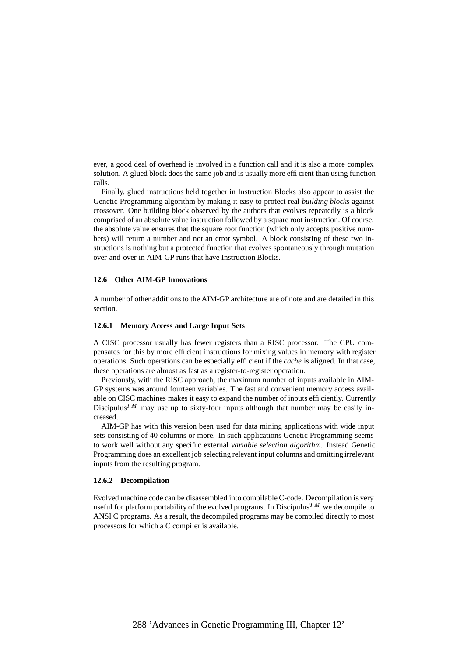ever, a good deal of overhead is involved in a function call and it is also a more complex solution. A glued block does the same job and is usually more efficient than using function calls.

Finally, glued instructions held together in Instruction Blocks also appear to assist the Genetic Programming algorithm by making it easy to protect real *building blocks* against crossover. One building block observed by the authors that evolves repeatedly is a block comprised of an absolute value instruction followed by a square root instruction. Of course, the absolute value ensures that the square root function (which only accepts positive numbers) will return a number and not an error symbol. A block consisting of these two instructions is nothing but a protected function that evolves spontaneously through mutation over-and-over in AIM-GP runs that have Instruction Blocks.

### **12.6 Other AIM-GP Innovations**

A number of other additions to the AIM-GP architecture are of note and are detailed in this section.

# **12.6.1 Memory Access and Large Input Sets**

A CISC processor usually has fewer registers than a RISC processor. The CPU compensates for this by more efficient instructions for mixing values in memory with register operations. Such operations can be especially efficient if the *cache* is aligned. In that case, these operations are almost as fast as a register-to-register operation.

Previously, with the RISC approach, the maximum number of inputs available in AIM-GP systems was around fourteen variables. The fast and convenient memory access available on CISC machines makes it easy to expand the number of inputs efficiently. Currently Discipulus<sup>TM</sup> may use up to sixty-four inputs although that number may be easily increased.

AIM-GP has with this version been used for data mining applications with wide input sets consisting of 40 columns or more. In such applications Genetic Programming seems to work well without any specific external *variable selection algorithm*. Instead Genetic Programming does an excellent job selecting relevant input columns and omitting irrelevant inputs from the resulting program.

## **12.6.2 Decompilation**

Evolved machine code can be disassembled into compilable C-code. Decompilation is very useful for platform portability of the evolved programs. In Discipulus<sup>TM</sup> we decompile to ANSI C programs. As a result, the decompiled programs may be compiled directly to most processors for which a C compiler is available.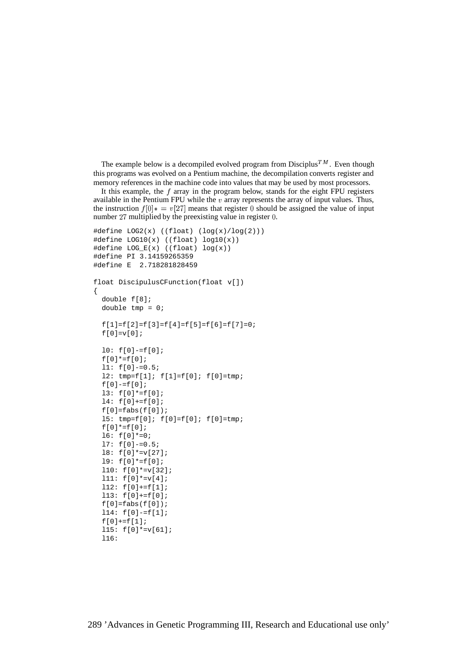The example below is a decompiled evolved program from Disciplus<sup>TM</sup>. Even though this programs was evolved on a Pentium machine, the decompilation converts register and memory references in the machine code into values that may be used by most processors.

It this example, the  $f$  array in the program below, stands for the eight FPU registers available in the Pentium FPU while the  $v$  array represents the array of input values. Thus, the instruction  $f[0]$  =  $v[27]$  means that register 0 should be assigned the value of input number 27 multiplied by the preexisting value in register 0.

```
#define LOG2(x) ((float) (log(x)/log(2)))
#define LOG10(x) ((float) log10(x))
#define LOG_E(x) ((float) log(x))
#define PI 3.14159265359
#define E 2.718281828459
float DiscipulusCFunction(float v[])
{
 double f[8];
 double tmp = 0;
 f[1]=f[2]=f[3]=f[4]=f[5]=f[6]=f[7]=0;f[0]=v[0];10: f[0]-=f[0];f[0]*=f[0];11: f[0]-0.5;12: tmp=f[1]; f[1]=f[0]; f[0]=tmp;f[0]-=f[0];
 l3: f[0]*=f[0];
 14: f[0]+=f[0];f[0]=fabs(f[0]);15: tmp=f[0]; f[0]=f[0]; f[0]=tmp;f[0]*=f[0];16: f[0]*=0;17: f[0]-=0.5;18: f[0]*=v[27];19: f[0]*=f[0];110: f[0]*=v[32];
 111: f[0]*=v[4];
 l12: f[0]+=f[1];
 l13: f[0]+=f[0];
 f[0]=fabs(f[0]);l14: f[0]-=f[1];
 f[0] += f[1];l15: f[0]*=v[61];
 l16:
```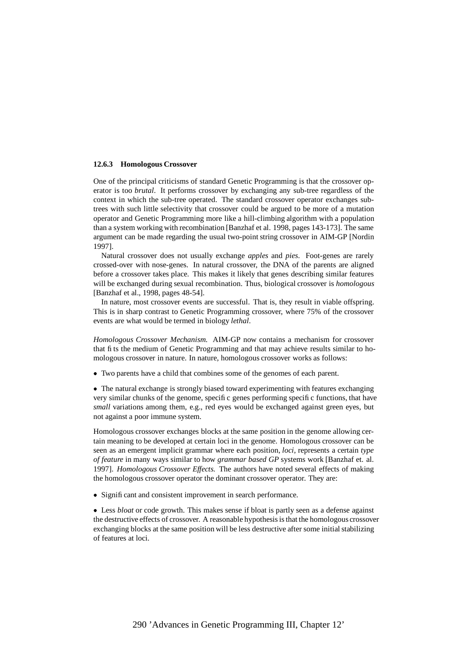### **12.6.3 Homologous Crossover**

One of the principal criticisms of standard Genetic Programming is that the crossover operator is too *brutal*. It performs crossover by exchanging any sub-tree regardless of the context in which the sub-tree operated. The standard crossover operator exchanges subtrees with such little selectivity that crossover could be argued to be more of a mutation operator and Genetic Programming more like a hill-climbing algorithm with a population than a system working with recombination [Banzhaf et al. 1998, pages 143-173]. The same argument can be made regarding the usual two-point string crossover in AIM-GP [Nordin 1997].

Natural crossover does not usually exchange *apples* and *pies*. Foot-genes are rarely crossed-over with nose-genes. In natural crossover, the DNA of the parents are aligned before a crossover takes place. This makes it likely that genes describing similar features will be exchanged during sexual recombination. Thus, biological crossover is *homologous* [Banzhaf et al., 1998, pages 48-54].

In nature, most crossover events are successful. That is, they result in viable offspring. This is in sharp contrast to Genetic Programming crossover, where 75% of the crossover events are what would be termed in biology *lethal*.

*Homologous Crossover Mechanism.* AIM-GP now contains a mechanism for crossover that fits the medium of Genetic Programming and that may achieve results similar to homologous crossover in nature. In nature, homologous crossover works as follows:

Two parents have a child that combines some of the genomes of each parent.

 The natural exchange is strongly biased toward experimenting with features exchanging very similar chunks of the genome, specific genes performing specific functions, that have *small* variations among them, e.g., red eyes would be exchanged against green eyes, but not against a poor immune system.

Homologous crossover exchanges blocks at the same position in the genome allowing certain meaning to be developed at certain loci in the genome. Homologous crossover can be seen as an emergent implicit grammar where each position, *loci*, represents a certain *type of feature* in many ways similar to how *grammar based GP* systems work [Banzhaf et. al. 1997]. *Homologous Crossover Effects.* The authors have noted several effects of making the homologous crossover operator the dominant crossover operator. They are:

Significant and consistent improvement in search performance.

 Less *bloat* or code growth. This makes sense if bloat is partly seen as a defense against the destructive effects of crossover. A reasonable hypothesisisthat the homologous crossover exchanging blocks at the same position will be less destructive after some initial stabilizing of features at loci.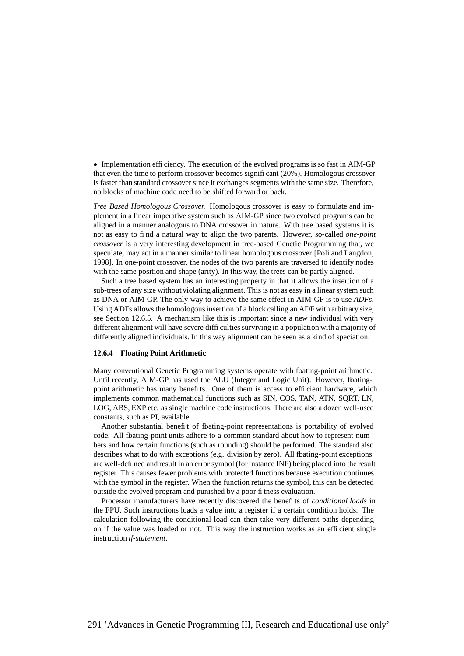• Implementation efficiency. The execution of the evolved programs is so fast in AIM-GP that even the time to perform crossover becomes significant (20%). Homologous crossover is faster than standard crossover since it exchanges segments with the same size. Therefore, no blocks of machine code need to be shifted forward or back.

*Tree Based Homologous Crossover.* Homologous crossover is easy to formulate and implement in a linear imperative system such as AIM-GP since two evolved programs can be aligned in a manner analogous to DNA crossover in nature. With tree based systems it is not as easy to find a natural way to align the two parents. However, so-called *one-point crossover* is a very interesting development in tree-based Genetic Programming that, we speculate, may act in a manner similar to linear homologous crossover [Poli and Langdon, 1998]. In one-point crossover, the nodes of the two parents are traversed to identify nodes with the same position and shape (arity). In this way, the trees can be partly aligned.

Such a tree based system has an interesting property in that it allows the insertion of a sub-trees of any size without violating alignment. This is not as easy in a linear system such as DNA or AIM-GP. The only way to achieve the same effect in AIM-GP is to use *ADFs*. Using ADFs allows the homologousinsertion of a block calling an ADF with arbitrary size, see Section 12.6.5. A mechanism like this is important since a new individual with very different alignment will have severe difficulties surviving in a population with a majority of differently aligned individuals. In this way alignment can be seen as a kind of speciation.

# **12.6.4 Floating Point Arithmetic**

Many conventional Genetic Programming systems operate with fbating-point arithmetic. Until recently, AIM-GP has used the ALU (Integer and Logic Unit). However, fbatingpoint arithmetic has many benefits. One of them is access to efficient hardware, which implements common mathematical functions such as SIN, COS, TAN, ATN, SQRT, LN, LOG, ABS, EXP etc. as single machine code instructions. There are also a dozen well-used constants, such as PI, available.

Another substantial benefit of fbating-point representations is portability of evolved code. All fbating-point units adhere to a common standard about how to represent numbers and how certain functions (such as rounding) should be performed. The standard also describes what to do with exceptions (e.g. division by zero). All fbating-point exceptions are well-defined and result in an error symbol (for instance INF) being placed into the result register. This causes fewer problems with protected functions because execution continues with the symbol in the register. When the function returns the symbol, this can be detected outside the evolved program and punished by a poor fitness evaluation.

Processor manufacturers have recently discovered the benefits of *conditional loads* in the FPU. Such instructions loads a value into a register if a certain condition holds. The calculation following the conditional load can then take very different paths depending on if the value was loaded or not. This way the instruction works as an efficient single instruction *if-statement*.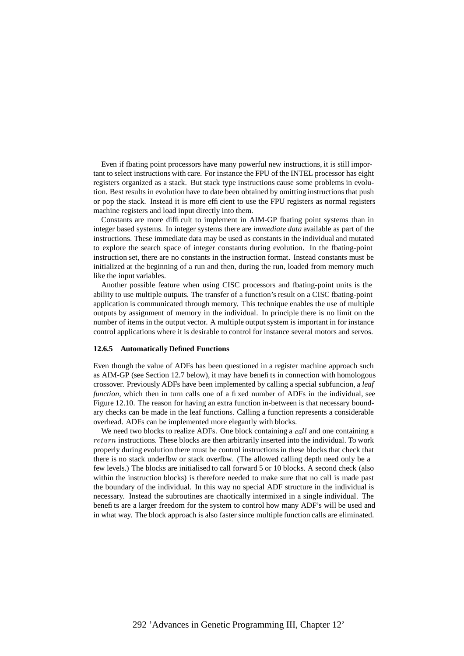Even if floating point processors have many powerful new instructions, it is still important to select instructions with care. For instance the FPU of the INTEL processor has eight registers organized as a stack. But stack type instructions cause some problems in evolution. Best results in evolution have to date been obtained by omitting instructions that push or pop the stack. Instead it is more efficient to use the FPU registers as normal registers machine registers and load input directly into them.

Constants are more difficult to implement in AIM-GP fbating point systems than in integer based systems. In integer systems there are *immediate data* available as part of the instructions. These immediate data may be used as constants in the individual and mutated to explore the search space of integer constants during evolution. In the fbating-point instruction set, there are no constants in the instruction format. Instead constants must be initialized at the beginning of a run and then, during the run, loaded from memory much like the input variables.

Another possible feature when using CISC processors and floating-point units is the ability to use multiple outputs. The transfer of a function's result on a CISC fbating-point application is communicated through memory. This technique enables the use of multiple outputs by assignment of memory in the individual. In principle there is no limit on the number of items in the output vector. A multiple output system is important in for instance control applications where it is desirable to control for instance several motors and servos.

### **12.6.5 Automatically Defined Functions**

Even though the value of ADFs has been questioned in a register machine approach such as AIM-GP (see Section 12.7 below), it may have benefits in connection with homologous crossover. Previously ADFs have been implemented by calling a special subfuncion, a *leaf function*, which then in turn calls one of a fixed number of ADFs in the individual, see Figure 12.10. The reason for having an extra function in-between is that necessary boundary checks can be made in the leaf functions. Calling a function represents a considerable overhead. ADFs can be implemented more elegantly with blocks.

We need two blocks to realize ADFs. One block containing a  $\it{call}$  and one containing a  $return$  instructions. These blocks are then arbitrarily inserted into the individual. To work properly during evolution there must be control instructions in these blocks that check that there is no stack underflow or stack overflow. (The allowed calling depth need only be a few levels.) The blocks are initialised to call forward 5 or 10 blocks. A second check (also within the instruction blocks) is therefore needed to make sure that no call is made past the boundary of the individual. In this way no special ADF structure in the individual is necessary. Instead the subroutines are chaotically intermixed in a single individual. The benefits are a larger freedom for the system to control how many ADF's will be used and in what way. The block approach is also faster since multiple function calls are eliminated.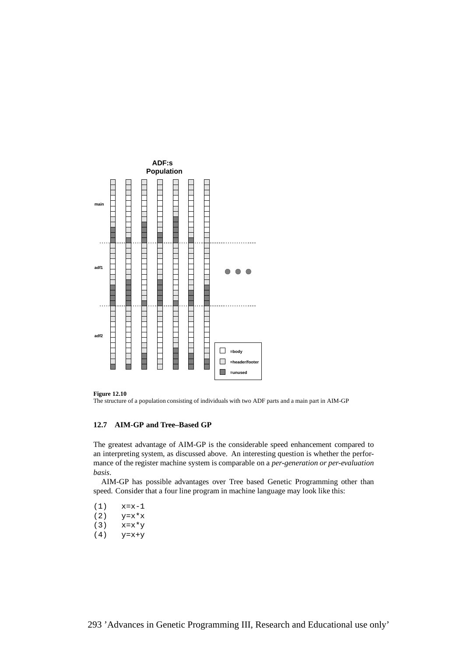



The structure of a population consisting of individuals with two ADF parts and a main part in AIM-GP

# **12.7 AIM-GP and Tree–Based GP**

The greatest advantage of AIM-GP is the considerable speed enhancement compared to an interpreting system, as discussed above. An interesting question is whether the performance of the register machine system is comparable on a *per-generation or per-evaluation basis*.

AIM-GP has possible advantages over Tree based Genetic Programming other than speed. Consider that a four line program in machine language may look like this:

- $(1)$   $x=x-1$
- $(2)$   $y=x*x$
- (3) x=x\*y
- $(4)$   $y=x+y$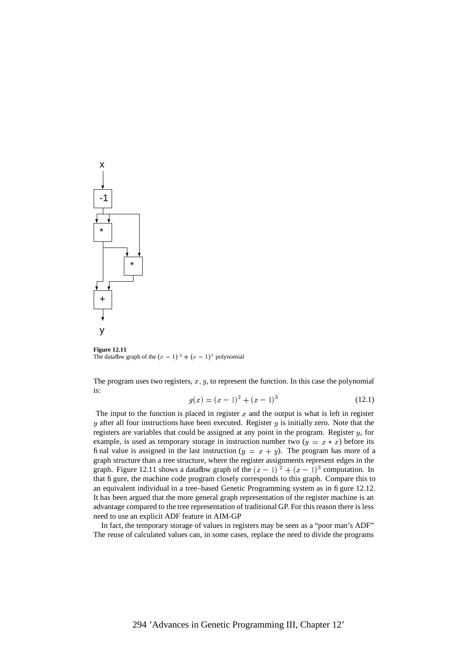

**Figure 12.11** The datafbw graph of the  $(x - 1)^2 + (x - 1)^3$  polynomial

The program uses two registers,  $x, y$ , to represent the function. In this case the polynomial is:

$$
g(x) = (x - 1)^2 + (x - 1)^3
$$
 (12.1)

The input to the function is placed in register  $x$  and the output is what is left in register y after all four instructions have been executed. Register  $y$  is initially zero. Note that the registers are variables that could be assigned at any point in the program. Register  $y$ , for example, is used as temporary storage in instruction number two  $(y = x * x)$  before its final value is assigned in the last instruction ( $y = x + y$ ). The program has more of a graph structure than a tree structure, where the register assignments represent edges in the graph. Figure 12.11 shows a dataflow graph of the  $(x - 1)^2 + (x - 1)^3$  computation. In that figure, the machine code program closely corresponds to this graph. Compare this to an equivalent individual in a tree–based Genetic Programming system as in figure 12.12. It has been argued that the more general graph representation of the register machine is an advantage compared to the tree representation of traditional GP. For this reason there is less need to use an explicit ADF feature in AIM-GP

In fact, the temporary storage of values in registers may be seen as a "poor man's ADF" The reuse of calculated values can, in some cases, replace the need to divide the programs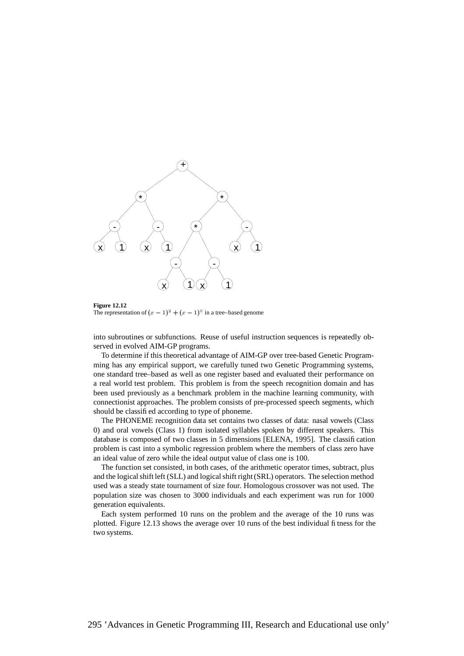

**Figure 12.12** The representation of  $(x - 1)^2 + (x - 1)^3$  in a tree–based genome

into subroutines or subfunctions. Reuse of useful instruction sequences is repeatedly observed in evolved AIM-GP programs.

To determine if this theoretical advantage of AIM-GP over tree-based Genetic Programming has any empirical support, we carefully tuned two Genetic Programming systems, one standard tree–based as well as one register based and evaluated their performance on a real world test problem. This problem is from the speech recognition domain and has been used previously as a benchmark problem in the machine learning community, with connectionist approaches. The problem consists of pre-processed speech segments, which should be classified according to type of phoneme.

The PHONEME recognition data set contains two classes of data: nasal vowels (Class 0) and oral vowels (Class 1) from isolated syllables spoken by different speakers. This database is composed of two classes in 5 dimensions [ELENA, 1995]. The classification problem is cast into a symbolic regression problem where the members of class zero have an ideal value of zero while the ideal output value of class one is 100.

The function set consisted, in both cases, of the arithmetic operator times, subtract, plus and the logical shift left (SLL) and logical shift right (SRL) operators. The selection method used was a steady state tournament of size four. Homologous crossover was not used. The population size was chosen to 3000 individuals and each experiment was run for 1000 generation equivalents.

Each system performed 10 runs on the problem and the average of the 10 runs was plotted. Figure 12.13 shows the average over 10 runs of the best individual fitness for the two systems.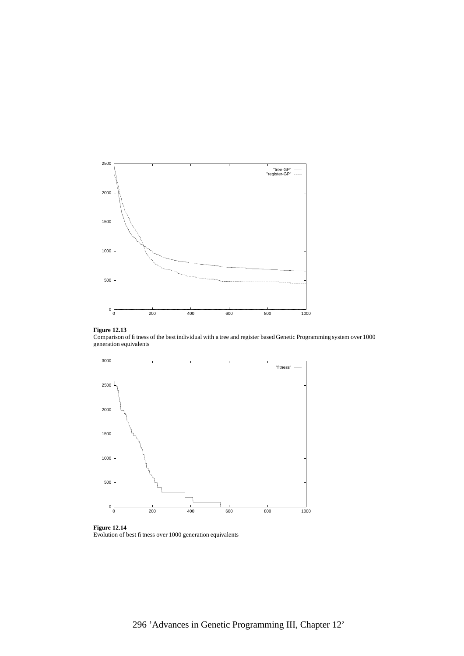



Comparison of fitness of the best individual with a tree and register based Genetic Programming system over 1000 generation equivalents



**Figure 12.14** Evolution of best fitness over 1000 generation equivalents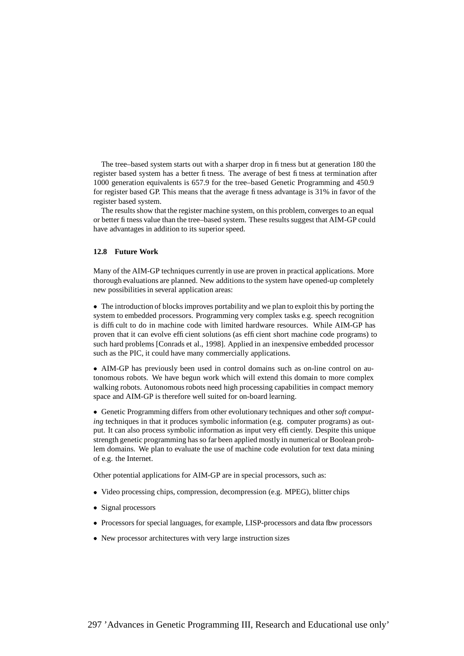The tree–based system starts out with a sharper drop in fitness but at generation 180 the register based system has a better fitness. The average of best fitness at termination after 1000 generation equivalents is 657.9 for the tree–based Genetic Programming and 450.9 for register based GP. This means that the average fitness advantage is 31% in favor of the register based system.

The results show that the register machine system, on this problem, converges to an equal or better fitness value than the tree–based system. These results suggest that AIM-GP could have advantages in addition to its superior speed.

# **12.8 Future Work**

Many of the AIM-GP techniques currently in use are proven in practical applications. More thorough evaluations are planned. New additions to the system have opened-up completely new possibilities in several application areas:

 The introduction of blocks improves portability and we plan to exploit this by porting the system to embedded processors. Programming very complex tasks e.g. speech recognition is difficult to do in machine code with limited hardware resources. While AIM-GP has proven that it can evolve efficient solutions (as efficient short machine code programs) to such hard problems [Conrads et al., 1998]. Applied in an inexpensive embedded processor such as the PIC, it could have many commercially applications.

 AIM-GP has previously been used in control domains such as on-line control on autonomous robots. We have begun work which will extend this domain to more complex walking robots. Autonomous robots need high processing capabilities in compact memory space and AIM-GP is therefore well suited for on-board learning.

 Genetic Programming differs from other evolutionary techniques and other *soft computing* techniques in that it produces symbolic information (e.g. computer programs) as output. It can also process symbolic information as input very efficiently. Despite this unique strength genetic programming has so far been applied mostly in numerical or Boolean problem domains. We plan to evaluate the use of machine code evolution for text data mining of e.g. the Internet.

Other potential applications for AIM-GP are in special processors, such as:

- Video processing chips, compression, decompression (e.g. MPEG), blitter chips
- Signal processors
- Processors for special languages, for example, LISP-processors and data flow processors
- New processor architectures with very large instruction sizes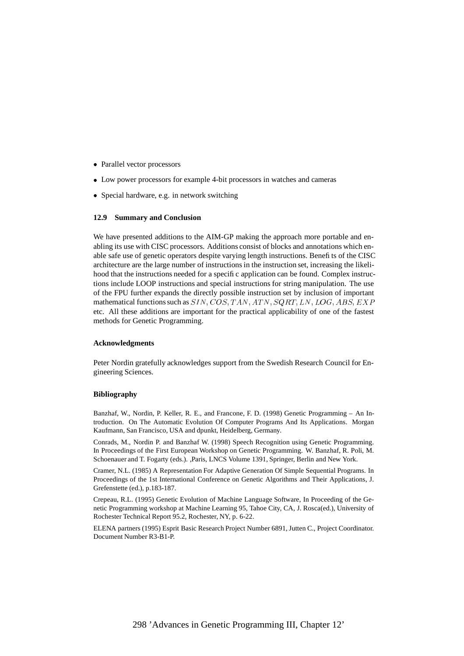- Parallel vector processors
- Low power processors for example 4-bit processors in watches and cameras
- Special hardware, e.g. in network switching

### **12.9 Summary and Conclusion**

We have presented additions to the AIM-GP making the approach more portable and enabling its use with CISC processors. Additions consist of blocks and annotations which enable safe use of genetic operators despite varying length instructions. Benefits of the CISC architecture are the large number of instructions in the instruction set, increasing the likelihood that the instructions needed for a specific application can be found. Complex instructions include LOOP instructions and special instructions for string manipulation. The use of the FPU further expands the directly possible instruction set by inclusion of important mathematical functions such as  $SIN, COS, TAN, ATN, SQRT, LN, LOG, ABS, EXP$ etc. All these additions are important for the practical applicability of one of the fastest methods for Genetic Programming.

### **Acknowledgments**

Peter Nordin gratefully acknowledges support from the Swedish Research Council for Engineering Sciences.

#### **Bibliography**

Banzhaf, W., Nordin, P. Keller, R. E., and Francone, F. D. (1998) Genetic Programming – An Introduction. On The Automatic Evolution Of Computer Programs And Its Applications. Morgan Kaufmann, San Francisco, USA and dpunkt, Heidelberg, Germany.

Conrads, M., Nordin P. and Banzhaf W. (1998) Speech Recognition using Genetic Programming. In Proceedings of the First European Workshop on Genetic Programming. W. Banzhaf, R. Poli, M. Schoenauer and T. Fogarty (eds.). ,Paris, LNCS Volume 1391, Springer, Berlin and New York.

Cramer, N.L. (1985) A Representation For Adaptive Generation Of Simple Sequential Programs. In Proceedings of the 1st International Conference on Genetic Algorithms and Their Applications, J. Grefenstette (ed.), p.183-187.

Crepeau, R.L. (1995) Genetic Evolution of Machine Language Software, In Proceeding of the Genetic Programming workshop at Machine Learning 95, Tahoe City, CA, J. Rosca(ed.), University of Rochester Technical Report 95.2, Rochester, NY, p. 6-22.

ELENA partners (1995) Esprit Basic Research Project Number 6891, Jutten C., Project Coordinator. Document Number R3-B1-P.